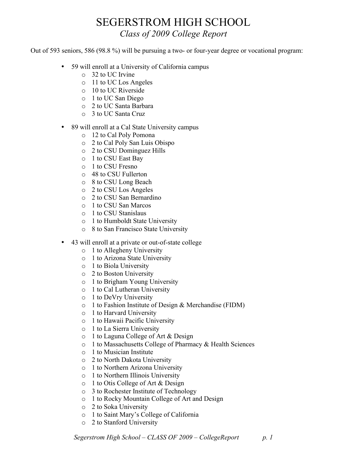## SEGERSTROM HIGH SCHOOL *Class of 2009 College Report*

Out of 593 seniors, 586 (98.8 %) will be pursuing a two- or four-year degree or vocational program:

- 59 will enroll at a University of California campus
	- o 32 to UC Irvine
	- o 11 to UC Los Angeles
	- o 10 to UC Riverside
	- o 1 to UC San Diego
	- o 2 to UC Santa Barbara
	- o 3 to UC Santa Cruz
- 89 will enroll at a Cal State University campus
	- o 12 to Cal Poly Pomona
	- o 2 to Cal Poly San Luis Obispo
	- o 2 to CSU Dominguez Hills
	- o 1 to CSU East Bay
	- o 1 to CSU Fresno
	- o 48 to CSU Fullerton
	- o 8 to CSU Long Beach
	- o 2 to CSU Los Angeles
	- o 2 to CSU San Bernardino
	- o 1 to CSU San Marcos
	- o 1 to CSU Stanislaus
	- o 1 to Humboldt State University
	- o 8 to San Francisco State University
- 43 will enroll at a private or out-of-state college
	- o 1 to Allegheny University
	- o 1 to Arizona State University
	- o 1 to Biola University
	- o 2 to Boston University
	- o 1 to Brigham Young University
	- o 1 to Cal Lutheran University
	- o 1 to DeVry University
	- o 1 to Fashion Institute of Design & Merchandise (FIDM)
	- o 1 to Harvard University
	- o 1 to Hawaii Pacific University
	- o 1 to La Sierra University
	- o 1 to Laguna College of Art & Design
	- o 1 to Massachusetts College of Pharmacy & Health Sciences
	- o 1 to Musician Institute
	- o 2 to North Dakota University
	- o 1 to Northern Arizona University
	- o 1 to Northern Illinois University
	- o 1 to Otis College of Art & Design
	- o 3 to Rochester Institute of Technology
	- o 1 to Rocky Mountain College of Art and Design
	- o 2 to Soka University
	- o 1 to Saint Mary's College of California
	- o 2 to Stanford University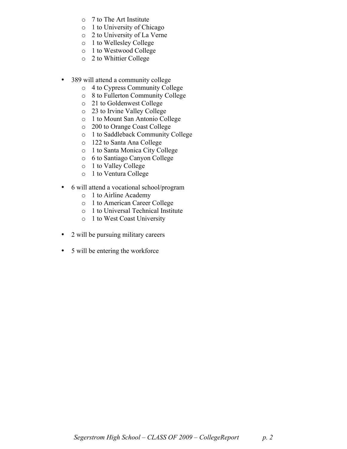- o 7 to The Art Institute
- o 1 to University of Chicago
- o 2 to University of La Verne
- o 1 to Wellesley College
- o 1 to Westwood College
- o 2 to Whittier College
- 389 will attend a community college
	- o 4 to Cypress Community College
	- o 8 to Fullerton Community College
	- o 21 to Goldenwest College
	- o 23 to Irvine Valley College
	- o 1 to Mount San Antonio College
	- o 200 to Orange Coast College
	- o 1 to Saddleback Community College
	- o 122 to Santa Ana College
	- o 1 to Santa Monica City College
	- o 6 to Santiago Canyon College
	- o 1 to Valley College
	- o 1 to Ventura College
- 6 will attend a vocational school/program
	- o 1 to Airline Academy
	- o 1 to American Career College
	- o 1 to Universal Technical Institute
	- o 1 to West Coast University
- 2 will be pursuing military careers
- 5 will be entering the workforce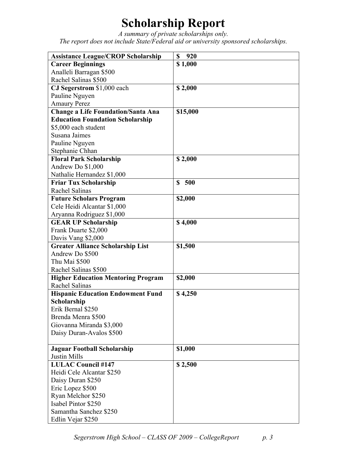## **Scholarship Report**

*A summary of private scholarships only. The report does not include State/Federal aid or university sponsored scholarships.*

| <b>Assistance League/CROP Scholarship</b>               | \$<br>920           |
|---------------------------------------------------------|---------------------|
| <b>Career Beginnings</b>                                | \$1,000             |
| Analleli Barragan \$500                                 |                     |
| Rachel Salinas \$500                                    |                     |
| CJ Segerstrom \$1,000 each                              | \$2,000             |
| Pauline Nguyen                                          |                     |
| <b>Amaury Perez</b>                                     |                     |
| <b>Change a Life Foundation/Santa Ana</b>               | \$15,000            |
| <b>Education Foundation Scholarship</b>                 |                     |
| \$5,000 each student                                    |                     |
| Susana Jaimes                                           |                     |
| Pauline Nguyen                                          |                     |
| Stephanie Chhan                                         |                     |
| <b>Floral Park Scholarship</b>                          | \$2,000             |
| Andrew Do \$1,000                                       |                     |
| Nathalie Hernandez \$1,000                              |                     |
| <b>Friar Tux Scholarship</b>                            | 500<br><sup>S</sup> |
| Rachel Salinas                                          |                     |
| <b>Future Scholars Program</b>                          | \$2,000             |
| Cele Heidi Alcantar \$1,000                             |                     |
| Aryanna Rodriguez \$1,000                               |                     |
| <b>GEAR UP Scholarship</b>                              | \$4,000             |
| Frank Duarte \$2,000                                    |                     |
| Davis Vang \$2,000                                      |                     |
| <b>Greater Alliance Scholarship List</b>                | \$1,500             |
| Andrew Do \$500                                         |                     |
| Thu Mai \$500                                           |                     |
| Rachel Salinas \$500                                    |                     |
| <b>Higher Education Mentoring Program</b>               | \$2,000             |
| Rachel Salinas                                          |                     |
| <b>Hispanic Education Endowment Fund</b><br>Scholarship | \$4,250             |
| Erik Bernal \$250                                       |                     |
| Brenda Menra \$500                                      |                     |
| Giovanna Miranda \$3,000                                |                     |
| Daisy Duran-Avalos \$500                                |                     |
|                                                         |                     |
| <b>Jaguar Football Scholarship</b>                      | \$1,000             |
| <b>Justin Mills</b>                                     |                     |
| <b>LULAC Council #147</b>                               | \$2,500             |
| Heidi Cele Alcantar \$250                               |                     |
| Daisy Duran \$250                                       |                     |
| Eric Lopez \$500                                        |                     |
| Ryan Melchor \$250                                      |                     |
| Isabel Pintor \$250                                     |                     |
| Samantha Sanchez \$250                                  |                     |
| Edlin Vejar \$250                                       |                     |